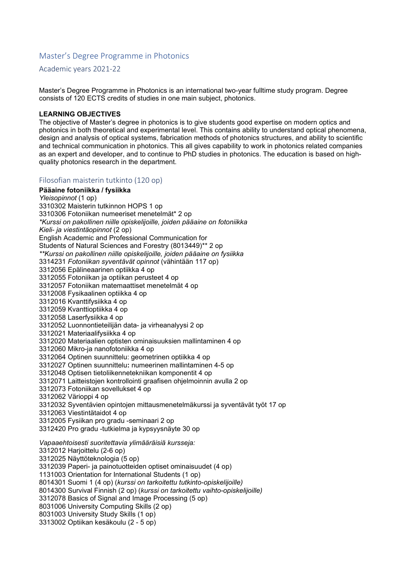## Master's Degree Programme in Photonics

Academic years 2021-22

Master's Degree Programme in Photonics is an international two-year fulltime study program. Degree consists of 120 ECTS credits of studies in one main subject, photonics.

## **LEARNING OBJECTIVES**

The objective of Master's degree in photonics is to give students good expertise on modern optics and photonics in both theoretical and experimental level. This contains ability to understand optical phenomena, design and analysis of optical systems, fabrication methods of photonics structures, and ability to scientific and technical communication in photonics. This all gives capability to work in photonics related companies as an expert and developer, and to continue to PhD studies in photonics. The education is based on highquality photonics research in the department.

## Filosofian maisterin tutkinto (120 op)

**Pääaine fotoniikka / fysiikka**  *Yleisopinnot* (1 op) 3310302 Maisterin tutkinnon HOPS 1 op 3310306 Fotoniikan numeeriset menetelmät\* 2 op *\*Kurssi on pakollinen niille opiskelijoille, joiden pääaine on fotoniikka Kieli- ja viestintäopinnot* (2 op) English Academic and Professional Communication for Students of Natural Sciences and Forestry (8013449)\*\* 2 op *\*\*Kurssi on pakollinen niille opiskelijoille, joiden pääaine on fysiikka*  3314231 *Fotoniikan syventävät opinnot* (vähintään 117 op) 3312056 Epälineaarinen optiikka 4 op 3312055 Fotoniikan ja optiikan perusteet 4 op 3312057 Fotoniikan matemaattiset menetelmät 4 op 3312008 Fysikaalinen optiikka 4 op 3312016 Kvanttifysiikka 4 op 3312059 Kvanttioptiikka 4 op 3312058 Laserfysiikka 4 op 3312052 Luonnontieteilijän data- ja virheanalyysi 2 op 3312021 Materiaalifysiikka 4 op 3312020 Materiaalien optisten ominaisuuksien mallintaminen 4 op 3312060 Mikro-ja nanofotoniikka 4 op 3312064 Optinen suunnittelu: geometrinen optiikka 4 op 3312027 Optinen suunnittelu**:** numeerinen mallintaminen 4-5 op 3312048 Optisen tietoliikennetekniikan komponentit 4 op 3312071 Laitteistojen kontrollointi graafisen ohjelmoinnin avulla 2 op 3312073 Fotoniikan sovellukset 4 op 3312062 Värioppi 4 op 3312032 Syventävien opintojen mittausmenetelmäkurssi ja syventävät työt 17 op 3312063 Viestintätaidot 4 op 3312005 Fysiikan pro gradu -seminaari 2 op 3312420 Pro gradu -tutkielma ja kypsyysnäyte 30 op *Vapaaehtoisesti suoritettavia ylimääräisiä kursseja:*  3312012 Harjoittelu (2-6 op) 3312025 Näyttöteknologia (5 op) 3312039 Paperi- ja painotuotteiden optiset ominaisuudet (4 op) 1131003 Orientation for International Students (1 op) 8014301 Suomi 1 (4 op) (*kurssi on tarkoitettu tutkinto-opiskelijoille)*  8014300 Survival Finnish (2 op) (*kurssi on tarkoitettu vaihto-opiskelijoille)*  3312078 Basics of Signal and Image Processing (5 op) 8031006 University Computing Skills (2 op) 8031003 University Study Skills (1 op) 3313002 Optiikan kesäkoulu (2 - 5 op)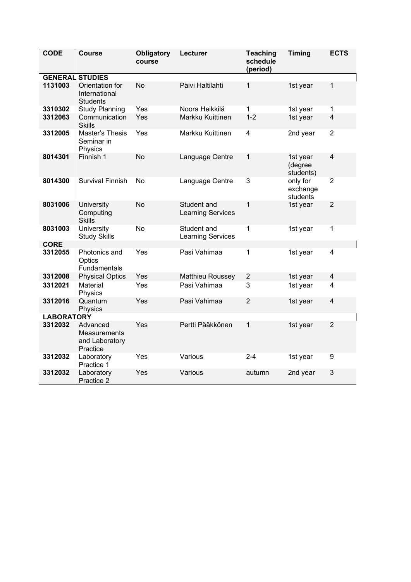| <b>CODE</b>       | <b>Course</b>                                          | <b>Obligatory</b><br>course | Lecturer                                | <b>Teaching</b><br>schedule<br>(period) | <b>Timing</b>                    | <b>ECTS</b>             |  |  |  |  |
|-------------------|--------------------------------------------------------|-----------------------------|-----------------------------------------|-----------------------------------------|----------------------------------|-------------------------|--|--|--|--|
|                   | <b>GENERAL STUDIES</b>                                 |                             |                                         |                                         |                                  |                         |  |  |  |  |
| 1131003           | Orientation for<br>International<br><b>Students</b>    | No                          | Päivi Haltilahti                        | 1                                       | 1st year                         | 1                       |  |  |  |  |
| 3310302           | <b>Study Planning</b>                                  | Yes                         | Noora Heikkilä                          | 1                                       | 1st year                         | 1                       |  |  |  |  |
| 3312063           | Communication<br><b>Skills</b>                         | Yes                         | Markku Kuittinen                        | $1 - 2$                                 | 1st year                         | $\overline{\mathbf{4}}$ |  |  |  |  |
| 3312005           | Master's Thesis<br>Seminar in<br>Physics               | Yes                         | Markku Kuittinen                        | 4                                       | 2nd year                         | $\overline{2}$          |  |  |  |  |
| 8014301           | Finnish 1                                              | No                          | Language Centre                         | 1                                       | 1st year<br>(degree<br>students) | $\overline{\mathbf{4}}$ |  |  |  |  |
| 8014300           | <b>Survival Finnish</b>                                | No                          | Language Centre                         | 3                                       | only for<br>exchange<br>students | $\overline{2}$          |  |  |  |  |
| 8031006           | University<br>Computing<br><b>Skills</b>               | <b>No</b>                   | Student and<br><b>Learning Services</b> | 1                                       | 1st year                         | $\overline{2}$          |  |  |  |  |
| 8031003           | <b>University</b><br><b>Study Skills</b>               | <b>No</b>                   | Student and<br><b>Learning Services</b> | 1                                       | 1st year                         | 1                       |  |  |  |  |
| <b>CORE</b>       |                                                        |                             |                                         |                                         |                                  |                         |  |  |  |  |
| 3312055           | Photonics and<br>Optics<br>Fundamentals                | Yes                         | Pasi Vahimaa                            | 1                                       | 1st year                         | $\overline{4}$          |  |  |  |  |
| 3312008           | <b>Physical Optics</b>                                 | Yes                         | Matthieu Roussey                        | $\overline{2}$                          | 1st year                         | $\overline{4}$          |  |  |  |  |
| 3312021           | Material<br>Physics                                    | Yes                         | Pasi Vahimaa                            | 3                                       | 1st year                         | 4                       |  |  |  |  |
| 3312016           | Quantum<br>Physics                                     | Yes                         | Pasi Vahimaa                            | $\overline{2}$                          | 1st year                         | $\overline{\mathbf{4}}$ |  |  |  |  |
| <b>LABORATORY</b> |                                                        |                             |                                         |                                         |                                  |                         |  |  |  |  |
| 3312032           | Advanced<br>Measurements<br>and Laboratory<br>Practice | Yes                         | Pertti Pääkkönen                        | $\mathbf 1$                             | 1st year                         | $\overline{2}$          |  |  |  |  |
| 3312032           | Laboratory<br>Practice 1                               | Yes                         | Various                                 | $2 - 4$                                 | 1st year                         | 9                       |  |  |  |  |
| 3312032           | Laboratory<br>Practice 2                               | Yes                         | Various                                 | autumn                                  | 2nd year                         | 3                       |  |  |  |  |